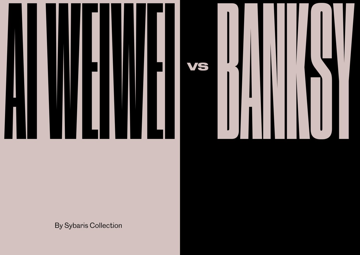24 25



## By Sybaris Collection

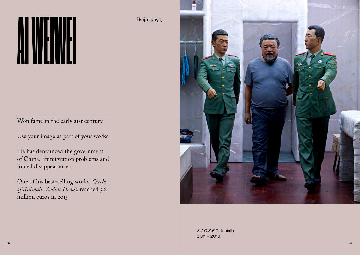Beijing, 1957



Won fame in the early 21st century

Use your image as part of your works

He has denounced the government of China, immigration problems and forced disappearances

> S.A.C.R.E.D. (detail) 2011 *–* 2013

One of his best-selling works, *Circle of Animals. Zodiac Heads*, reached 3.8 million euros in 2015

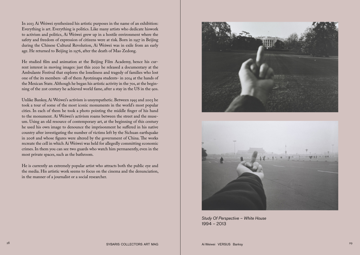In 2013 Ai Weiwei synthesized his artistic purposes in the name of an exhibition: Everything is art. Everything is politics. Like many artists who dedicate hiswork to activism and politics, Ai Weiwei grew up in a hostile environment where the safety and freedom of expression of citizens were at risk. Born in 1957 in Beijing during the Chinese Cultural Revolution, Ai Weiwei was in exile from an early age. He returned to Beijing in 1976, after the death of Mao Zedong.

He studied film and animation at the Beijing Film Academy, hence his current interest in moving images: just this 2020 he released a documentary at the Ambulante Festival that explores the loneliness and tragedy of families who lost one of the its members -all of them Ayotzinapa students- in 2014 at the hands of the Mexican State. Although he began his artistic activity in the 70s, at the beginning of the 21st century he achieved world fame, after a stay in the US in the 90s.



Study Of Perspective – White House<br>1994 – 2013<br>SYBARIS COLLECTORS ART MAG *Ai* Weiwei VERSUS Banksy 1994 *–* 2013

Unlike Banksy, Ai Weiwei's activism is unsympathetic. Between 1995 and 2003 he took a tour of some of the most iconic monuments in the world's most popular cities. In each of them he took a photo pointing the middle finger of his hand to the monument. Ai Weiwei's activism roams between the street and the museum. Using an old resource of contemporary art, at the beginning of this century he used his own image to denounce the imprisonment he suffered in his native country after investigating the number of victims left by the Sichuan earthquake in 2008 and whose figures were altered by the government of China. The works recreate the cell in which Ai Weiwei was held for allegedly committing economic crimes. In them you can see two guards who watch him permanently, even in the most private spaces, such as the bathroom.

He is currently an extremely popular artist who attracts both the public eye and the media. His artistic work seems to focus on the cinema and the denunciation, in the manner of a journalist or a social researcher.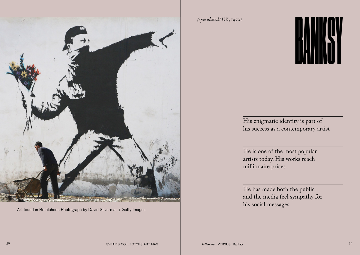

Art found in Bethlehem. Photograph by David Silverman / Getty Images<br>Ai Weiwei VERSUS Banksy Art found in Bethlehem. Photograph by David Silverman / Getty Images<br>SYBARIS COLLECTORS ART MAG Ai Weiwei VERSUS Banksy

## $\begin{array}{c} \begin{array}{c} \text{\textcolor{blue}{\large (s peculiared) UK, 1970s} \end{array} \end{array}$

## His enigmatic identity is part of his success as a contemporary artist

He is one of the most popular artists today. His works reach millionaire prices

He has made both the public and the media feel sympathy for his social messages